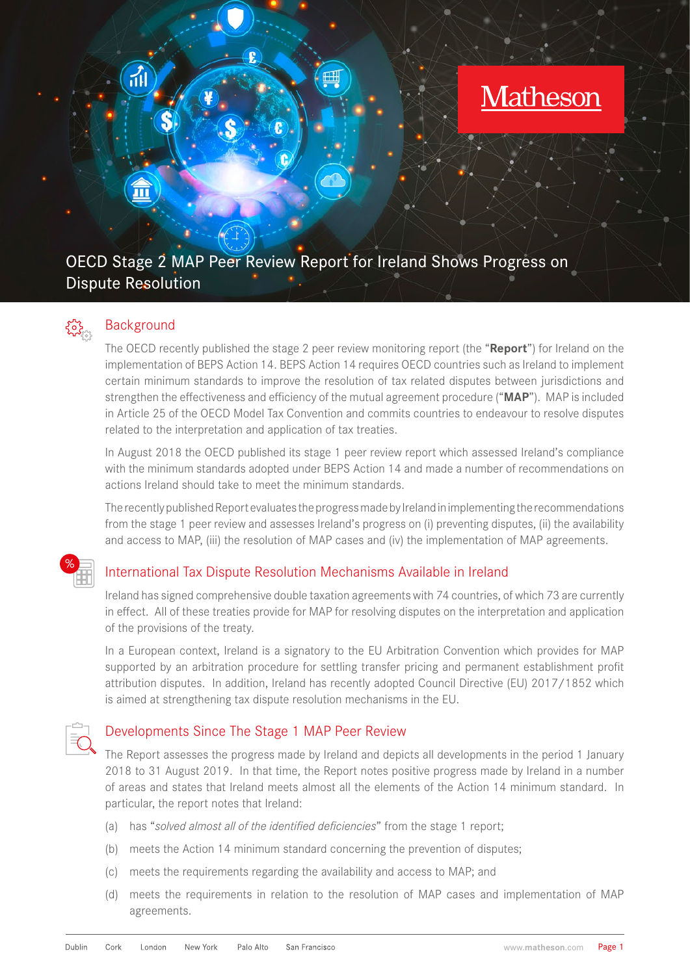# OECD Stage 2 MAP Peer Review Report for Ireland Shows Progress on Dispute Resolution

## Background

The OECD recently published the stage 2 peer review monitoring report (the "**Report**") for Ireland on the implementation of BEPS Action 14. BEPS Action 14 requires OECD countries such as Ireland to implement certain minimum standards to improve the resolution of tax related disputes between jurisdictions and strengthen the effectiveness and efficiency of the mutual agreement procedure ("**MAP**"). MAP is included in Article 25 of the OECD Model Tax Convention and commits countries to endeavour to resolve disputes related to the interpretation and application of tax treaties.

In August 2018 the OECD published its stage 1 peer review report which assessed Ireland's compliance with the minimum standards adopted under BEPS Action 14 and made a number of recommendations on actions Ireland should take to meet the minimum standards.

The recently published Report evaluates the progress made by Ireland in implementing the recommendations from the stage 1 peer review and assesses Ireland's progress on (i) preventing disputes, (ii) the availability and access to MAP, (iii) the resolution of MAP cases and (iv) the implementation of MAP agreements.



{၀}

### International Tax Dispute Resolution Mechanisms Available in Ireland

Ireland has signed comprehensive double taxation agreements with 74 countries, of which 73 are currently in effect. All of these treaties provide for MAP for resolving disputes on the interpretation and application of the provisions of the treaty.

In a European context, Ireland is a signatory to the EU Arbitration Convention which provides for MAP supported by an arbitration procedure for settling transfer pricing and permanent establishment profit attribution disputes. In addition, Ireland has recently adopted Council Directive (EU) 2017/1852 which is aimed at strengthening tax dispute resolution mechanisms in the EU.



#### Developments Since The Stage 1 MAP Peer Review

The Report assesses the progress made by Ireland and depicts all developments in the period 1 January 2018 to 31 August 2019. In that time, the Report notes positive progress made by Ireland in a number of areas and states that Ireland meets almost all the elements of the Action 14 minimum standard. In particular, the report notes that Ireland:

- (a) has "*solved almost all of the identified deficiencies*" from the stage 1 report;
- (b) meets the Action 14 minimum standard concerning the prevention of disputes;
- (c) meets the requirements regarding the availability and access to MAP; and
- (d) meets the requirements in relation to the resolution of MAP cases and implementation of MAP agreements.

**Matheson**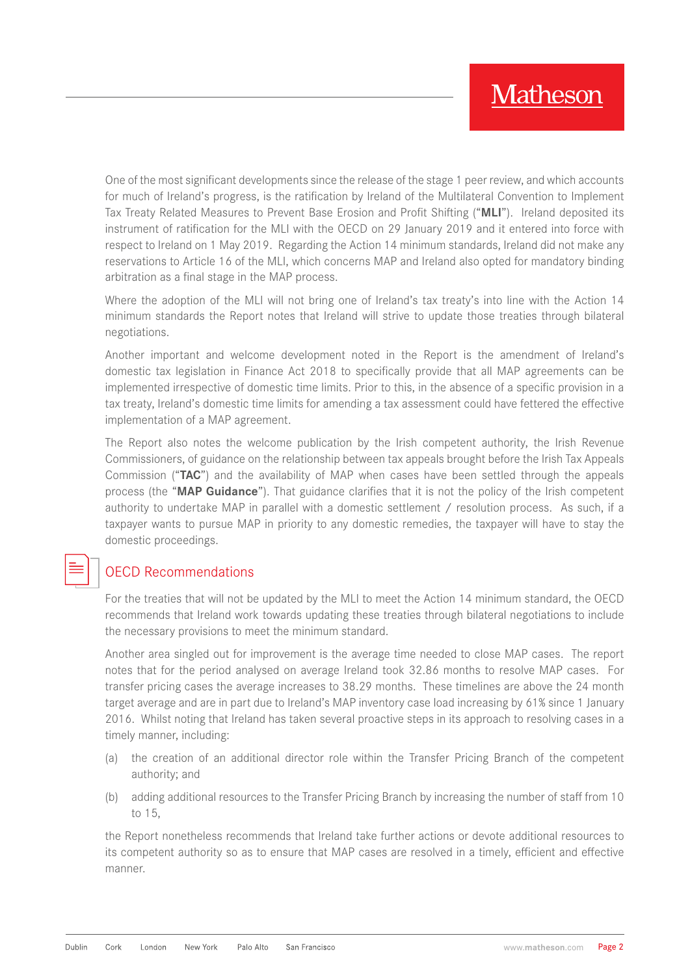One of the most significant developments since the release of the stage 1 peer review, and which accounts for much of Ireland's progress, is the ratification by Ireland of the Multilateral Convention to Implement Tax Treaty Related Measures to Prevent Base Erosion and Profit Shifting ("**MLI**"). Ireland deposited its instrument of ratification for the MLI with the OECD on 29 January 2019 and it entered into force with respect to Ireland on 1 May 2019. Regarding the Action 14 minimum standards, Ireland did not make any reservations to Article 16 of the MLI, which concerns MAP and Ireland also opted for mandatory binding arbitration as a final stage in the MAP process.

Where the adoption of the MLI will not bring one of Ireland's tax treaty's into line with the Action 14 minimum standards the Report notes that Ireland will strive to update those treaties through bilateral negotiations.

Another important and welcome development noted in the Report is the amendment of Ireland's domestic tax legislation in Finance Act 2018 to specifically provide that all MAP agreements can be implemented irrespective of domestic time limits. Prior to this, in the absence of a specific provision in a tax treaty, Ireland's domestic time limits for amending a tax assessment could have fettered the effective implementation of a MAP agreement.

The Report also notes the welcome publication by the Irish competent authority, the Irish Revenue Commissioners, of guidance on the relationship between tax appeals brought before the Irish Tax Appeals Commission ("**TAC**") and the availability of MAP when cases have been settled through the appeals process (the "**MAP Guidance**"). That guidance clarifies that it is not the policy of the Irish competent authority to undertake MAP in parallel with a domestic settlement / resolution process. As such, if a taxpayer wants to pursue MAP in priority to any domestic remedies, the taxpayer will have to stay the domestic proceedings.

## OECD Recommendations

For the treaties that will not be updated by the MLI to meet the Action 14 minimum standard, the OECD recommends that Ireland work towards updating these treaties through bilateral negotiations to include the necessary provisions to meet the minimum standard.

Another area singled out for improvement is the average time needed to close MAP cases. The report notes that for the period analysed on average Ireland took 32.86 months to resolve MAP cases. For transfer pricing cases the average increases to 38.29 months. These timelines are above the 24 month target average and are in part due to Ireland's MAP inventory case load increasing by 61% since 1 January 2016. Whilst noting that Ireland has taken several proactive steps in its approach to resolving cases in a timely manner, including:

- (a) the creation of an additional director role within the Transfer Pricing Branch of the competent authority; and
- (b) adding additional resources to the Transfer Pricing Branch by increasing the number of staff from 10 to 15,

the Report nonetheless recommends that Ireland take further actions or devote additional resources to its competent authority so as to ensure that MAP cases are resolved in a timely, efficient and effective manner.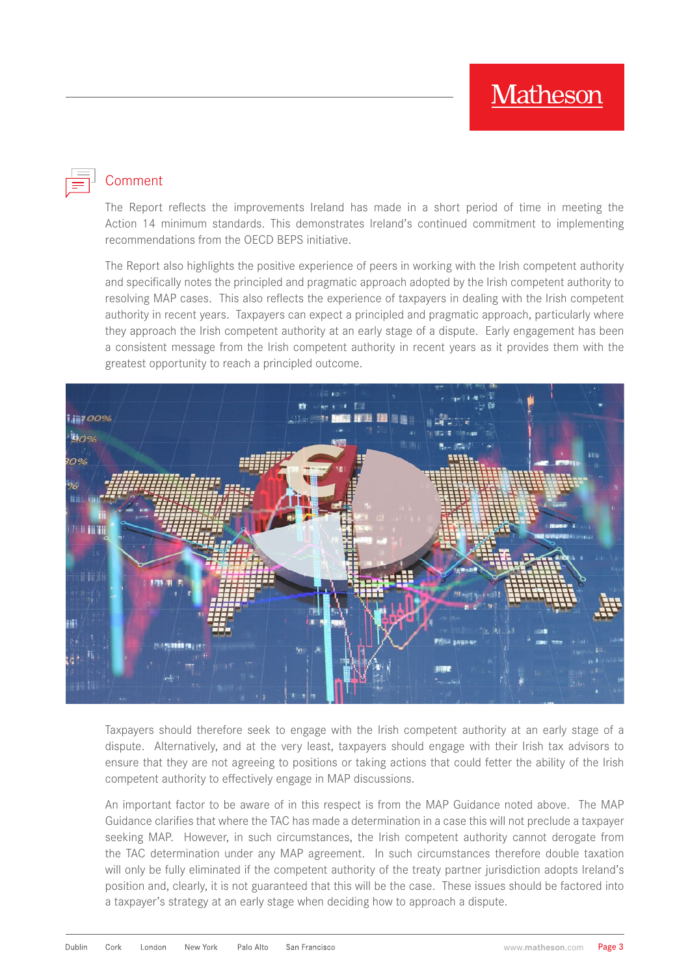## **Comment**

The Report reflects the improvements Ireland has made in a short period of time in meeting the Action 14 minimum standards. This demonstrates Ireland's continued commitment to implementing recommendations from the OECD BEPS initiative.

The Report also highlights the positive experience of peers in working with the Irish competent authority and specifically notes the principled and pragmatic approach adopted by the Irish competent authority to resolving MAP cases. This also reflects the experience of taxpayers in dealing with the Irish competent authority in recent years. Taxpayers can expect a principled and pragmatic approach, particularly where they approach the Irish competent authority at an early stage of a dispute. Early engagement has been a consistent message from the Irish competent authority in recent years as it provides them with the greatest opportunity to reach a principled outcome.



Taxpayers should therefore seek to engage with the Irish competent authority at an early stage of a dispute. Alternatively, and at the very least, taxpayers should engage with their Irish tax advisors to ensure that they are not agreeing to positions or taking actions that could fetter the ability of the Irish competent authority to effectively engage in MAP discussions.

An important factor to be aware of in this respect is from the MAP Guidance noted above. The MAP Guidance clarifies that where the TAC has made a determination in a case this will not preclude a taxpayer seeking MAP. However, in such circumstances, the Irish competent authority cannot derogate from the TAC determination under any MAP agreement. In such circumstances therefore double taxation will only be fully eliminated if the competent authority of the treaty partner jurisdiction adopts Ireland's position and, clearly, it is not guaranteed that this will be the case. These issues should be factored into a taxpayer's strategy at an early stage when deciding how to approach a dispute.